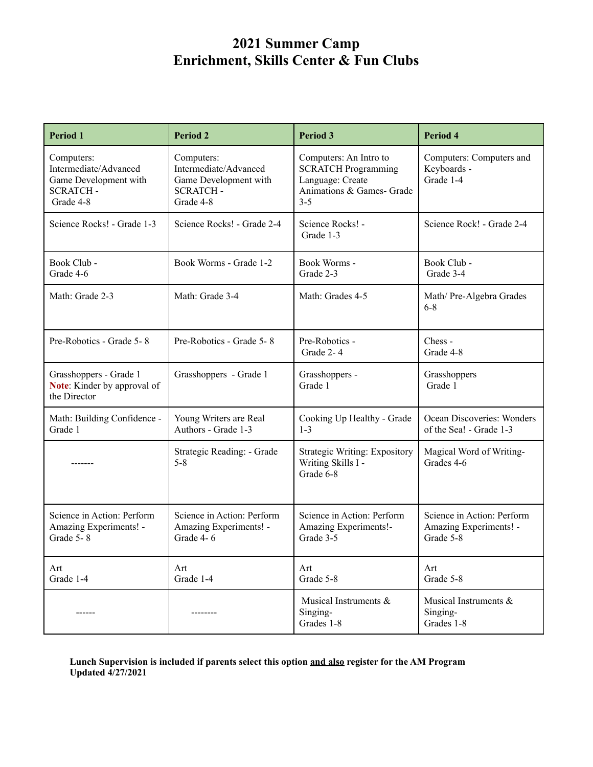| <b>Period 1</b>                                                                              | <b>Period 2</b>                                                                              | Period 3                                                                                                         | Period 4                                                          |
|----------------------------------------------------------------------------------------------|----------------------------------------------------------------------------------------------|------------------------------------------------------------------------------------------------------------------|-------------------------------------------------------------------|
| Computers:<br>Intermediate/Advanced<br>Game Development with<br><b>SCRATCH-</b><br>Grade 4-8 | Computers:<br>Intermediate/Advanced<br>Game Development with<br><b>SCRATCH-</b><br>Grade 4-8 | Computers: An Intro to<br><b>SCRATCH Programming</b><br>Language: Create<br>Animations & Games- Grade<br>$3 - 5$ | Computers: Computers and<br>Keyboards -<br>Grade 1-4              |
| Science Rocks! - Grade 1-3                                                                   | Science Rocks! - Grade 2-4                                                                   | Science Rocks! -<br>Grade 1-3                                                                                    | Science Rock! - Grade 2-4                                         |
| Book Club -<br>Grade 4-6                                                                     | Book Worms - Grade 1-2                                                                       | Book Worms -<br>Grade 2-3                                                                                        | Book Club -<br>Grade 3-4                                          |
| Math: Grade 2-3                                                                              | Math: Grade 3-4                                                                              | Math: Grades 4-5                                                                                                 | Math/ Pre-Algebra Grades<br>$6-8$                                 |
| Pre-Robotics - Grade 5-8                                                                     | Pre-Robotics - Grade 5-8                                                                     | Pre-Robotics -<br>Grade 2-4                                                                                      | $Chess -$<br>Grade 4-8                                            |
| Grasshoppers - Grade 1<br>Note: Kinder by approval of<br>the Director                        | Grasshoppers - Grade 1                                                                       | Grasshoppers -<br>Grade 1                                                                                        | Grasshoppers<br>Grade 1                                           |
| Math: Building Confidence -<br>Grade 1                                                       | Young Writers are Real<br>Authors - Grade 1-3                                                | Cooking Up Healthy - Grade<br>$1 - 3$                                                                            | Ocean Discoveries: Wonders<br>of the Sea! - Grade 1-3             |
|                                                                                              | Strategic Reading: - Grade<br>$5 - 8$                                                        | <b>Strategic Writing: Expository</b><br>Writing Skills I -<br>Grade 6-8                                          | Magical Word of Writing-<br>Grades 4-6                            |
| Science in Action: Perform<br>Amazing Experiments! -<br>Grade $5 - 8$                        | Science in Action: Perform<br>Amazing Experiments! -<br>Grade 4-6                            | Science in Action: Perform<br>Amazing Experiments!-<br>Grade 3-5                                                 | Science in Action: Perform<br>Amazing Experiments! -<br>Grade 5-8 |
| Art<br>Grade 1-4                                                                             | Art<br>Grade 1-4                                                                             | Art<br>Grade 5-8                                                                                                 | Art<br>Grade 5-8                                                  |
| ------                                                                                       | --------                                                                                     | Musical Instruments &<br>Singing-<br>Grades 1-8                                                                  | Musical Instruments &<br>Singing-<br>Grades 1-8                   |

**Lunch Supervision is included if parents select this option and also register for the AM Program Updated 4/27/2021**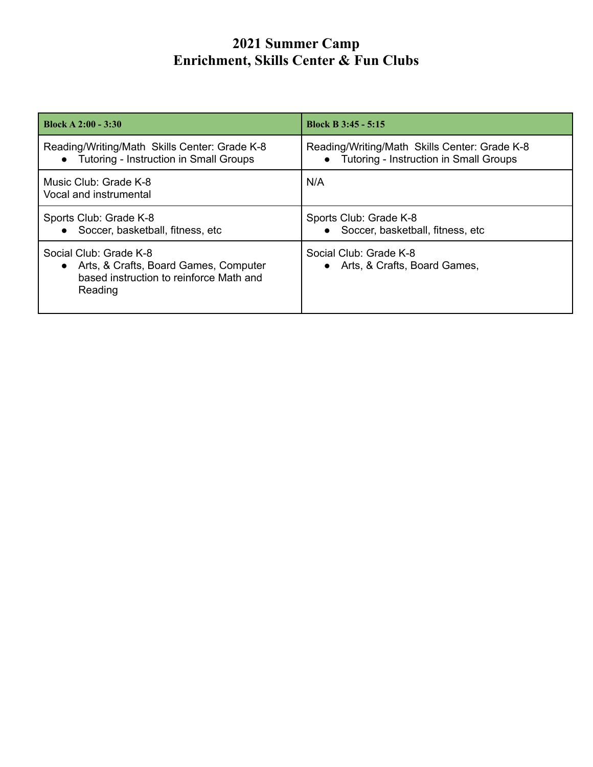| Block A $2:00 - 3:30$                                                                                                   | <b>Block B 3:45 - 5:15</b>                                                                |
|-------------------------------------------------------------------------------------------------------------------------|-------------------------------------------------------------------------------------------|
| Reading/Writing/Math Skills Center: Grade K-8<br>• Tutoring - Instruction in Small Groups                               | Reading/Writing/Math Skills Center: Grade K-8<br>• Tutoring - Instruction in Small Groups |
| Music Club: Grade K-8<br>Vocal and instrumental                                                                         | N/A                                                                                       |
| Sports Club: Grade K-8<br>Soccer, basketball, fitness, etc.<br>$\bullet$                                                | Sports Club: Grade K-8<br>Soccer, basketball, fitness, etc.<br>$\bullet$                  |
| Social Club: Grade K-8<br>• Arts, & Crafts, Board Games, Computer<br>based instruction to reinforce Math and<br>Reading | Social Club: Grade K-8<br>Arts, & Crafts, Board Games,<br>$\bullet$                       |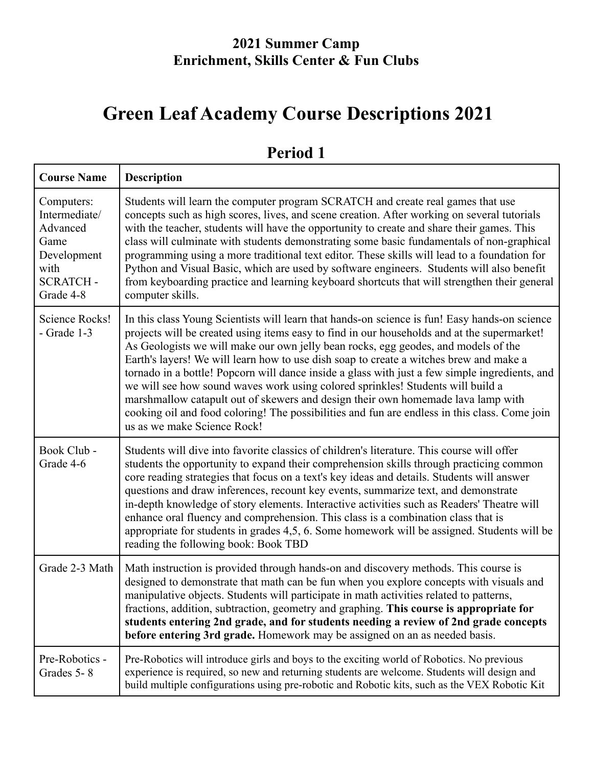# **Green Leaf Academy Course Descriptions 2021**

| <b>Course Name</b>                                                                                     | <b>Description</b>                                                                                                                                                                                                                                                                                                                                                                                                                                                                                                                                                                                                                                                                                                                                                                    |
|--------------------------------------------------------------------------------------------------------|---------------------------------------------------------------------------------------------------------------------------------------------------------------------------------------------------------------------------------------------------------------------------------------------------------------------------------------------------------------------------------------------------------------------------------------------------------------------------------------------------------------------------------------------------------------------------------------------------------------------------------------------------------------------------------------------------------------------------------------------------------------------------------------|
| Computers:<br>Intermediate/<br>Advanced<br>Game<br>Development<br>with<br><b>SCRATCH-</b><br>Grade 4-8 | Students will learn the computer program SCRATCH and create real games that use<br>concepts such as high scores, lives, and scene creation. After working on several tutorials<br>with the teacher, students will have the opportunity to create and share their games. This<br>class will culminate with students demonstrating some basic fundamentals of non-graphical<br>programming using a more traditional text editor. These skills will lead to a foundation for<br>Python and Visual Basic, which are used by software engineers. Students will also benefit<br>from keyboarding practice and learning keyboard shortcuts that will strengthen their general<br>computer skills.                                                                                            |
| Science Rocks!<br>$-$ Grade 1-3                                                                        | In this class Young Scientists will learn that hands-on science is fun! Easy hands-on science<br>projects will be created using items easy to find in our households and at the supermarket!<br>As Geologists we will make our own jelly bean rocks, egg geodes, and models of the<br>Earth's layers! We will learn how to use dish soap to create a witches brew and make a<br>tornado in a bottle! Popcorn will dance inside a glass with just a few simple ingredients, and<br>we will see how sound waves work using colored sprinkles! Students will build a<br>marshmallow catapult out of skewers and design their own homemade lava lamp with<br>cooking oil and food coloring! The possibilities and fun are endless in this class. Come join<br>us as we make Science Rock! |
| Book Club -<br>Grade 4-6                                                                               | Students will dive into favorite classics of children's literature. This course will offer<br>students the opportunity to expand their comprehension skills through practicing common<br>core reading strategies that focus on a text's key ideas and details. Students will answer<br>questions and draw inferences, recount key events, summarize text, and demonstrate<br>in-depth knowledge of story elements. Interactive activities such as Readers' Theatre will<br>enhance oral fluency and comprehension. This class is a combination class that is<br>appropriate for students in grades 4,5, 6. Some homework will be assigned. Students will be<br>reading the following book: Book TBD                                                                                   |
| Grade 2-3 Math                                                                                         | Math instruction is provided through hands-on and discovery methods. This course is<br>designed to demonstrate that math can be fun when you explore concepts with visuals and<br>manipulative objects. Students will participate in math activities related to patterns,<br>fractions, addition, subtraction, geometry and graphing. This course is appropriate for<br>students entering 2nd grade, and for students needing a review of 2nd grade concepts<br>before entering 3rd grade. Homework may be assigned on an as needed basis.                                                                                                                                                                                                                                            |
| Pre-Robotics -<br>Grades 5-8                                                                           | Pre-Robotics will introduce girls and boys to the exciting world of Robotics. No previous<br>experience is required, so new and returning students are welcome. Students will design and<br>build multiple configurations using pre-robotic and Robotic kits, such as the VEX Robotic Kit                                                                                                                                                                                                                                                                                                                                                                                                                                                                                             |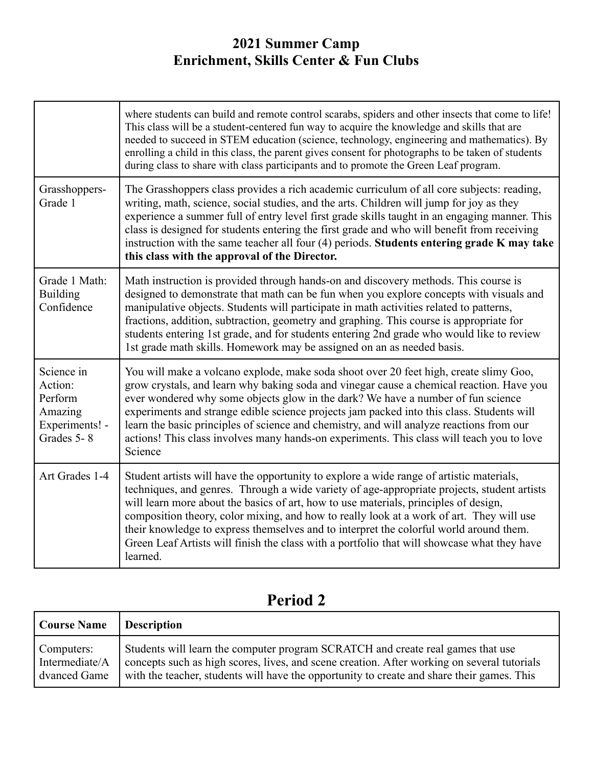|                                                                             | where students can build and remote control scarabs, spiders and other insects that come to life!<br>This class will be a student-centered fun way to acquire the knowledge and skills that are<br>needed to succeed in STEM education (science, technology, engineering and mathematics). By<br>enrolling a child in this class, the parent gives consent for photographs to be taken of students<br>during class to share with class participants and to promote the Green Leaf program.                                                                                       |
|-----------------------------------------------------------------------------|----------------------------------------------------------------------------------------------------------------------------------------------------------------------------------------------------------------------------------------------------------------------------------------------------------------------------------------------------------------------------------------------------------------------------------------------------------------------------------------------------------------------------------------------------------------------------------|
| Grasshoppers-<br>Grade 1                                                    | The Grasshoppers class provides a rich academic curriculum of all core subjects: reading,<br>writing, math, science, social studies, and the arts. Children will jump for joy as they<br>experience a summer full of entry level first grade skills taught in an engaging manner. This<br>class is designed for students entering the first grade and who will benefit from receiving<br>instruction with the same teacher all four $(4)$ periods. Students entering grade K may take<br>this class with the approval of the Director.                                           |
| Grade 1 Math:<br><b>Building</b><br>Confidence                              | Math instruction is provided through hands-on and discovery methods. This course is<br>designed to demonstrate that math can be fun when you explore concepts with visuals and<br>manipulative objects. Students will participate in math activities related to patterns,<br>fractions, addition, subtraction, geometry and graphing. This course is appropriate for<br>students entering 1st grade, and for students entering 2nd grade who would like to review<br>1st grade math skills. Homework may be assigned on an as needed basis.                                      |
| Science in<br>Action:<br>Perform<br>Amazing<br>Experiments! -<br>Grades 5-8 | You will make a volcano explode, make soda shoot over 20 feet high, create slimy Goo,<br>grow crystals, and learn why baking soda and vinegar cause a chemical reaction. Have you<br>ever wondered why some objects glow in the dark? We have a number of fun science<br>experiments and strange edible science projects jam packed into this class. Students will<br>learn the basic principles of science and chemistry, and will analyze reactions from our<br>actions! This class involves many hands-on experiments. This class will teach you to love<br>Science           |
| Art Grades 1-4                                                              | Student artists will have the opportunity to explore a wide range of artistic materials,<br>techniques, and genres. Through a wide variety of age-appropriate projects, student artists<br>will learn more about the basics of art, how to use materials, principles of design,<br>composition theory, color mixing, and how to really look at a work of art. They will use<br>their knowledge to express themselves and to interpret the colorful world around them.<br>Green Leaf Artists will finish the class with a portfolio that will showcase what they have<br>learned. |

| <b>Course Name</b> | <b>Description</b>                                                                          |
|--------------------|---------------------------------------------------------------------------------------------|
| Computers:         | Students will learn the computer program SCRATCH and create real games that use             |
| Intermediate/A     | concepts such as high scores, lives, and scene creation. After working on several tutorials |
| dvanced Game       | with the teacher, students will have the opportunity to create and share their games. This  |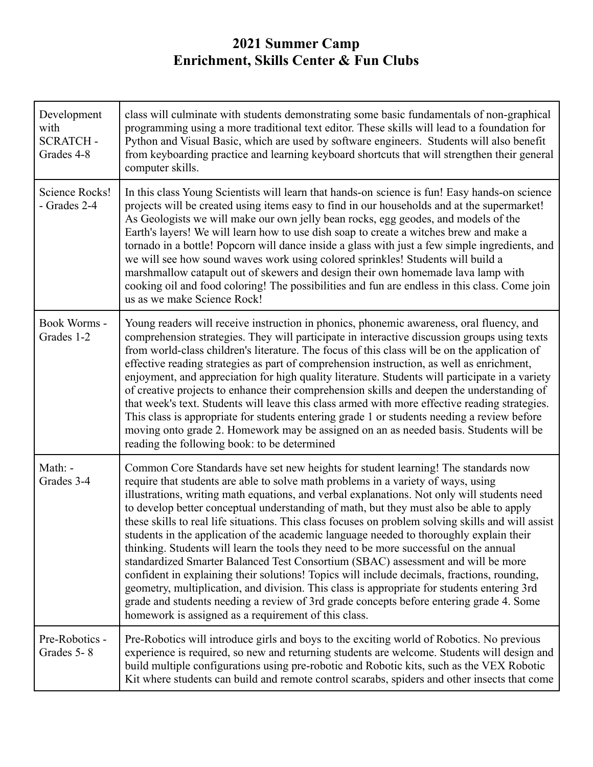| Development<br>with<br><b>SCRATCH-</b><br>Grades 4-8 | class will culminate with students demonstrating some basic fundamentals of non-graphical<br>programming using a more traditional text editor. These skills will lead to a foundation for<br>Python and Visual Basic, which are used by software engineers. Students will also benefit<br>from keyboarding practice and learning keyboard shortcuts that will strengthen their general<br>computer skills.                                                                                                                                                                                                                                                                                                                                                                                                                                                                                                                                                                                                                                                                                       |
|------------------------------------------------------|--------------------------------------------------------------------------------------------------------------------------------------------------------------------------------------------------------------------------------------------------------------------------------------------------------------------------------------------------------------------------------------------------------------------------------------------------------------------------------------------------------------------------------------------------------------------------------------------------------------------------------------------------------------------------------------------------------------------------------------------------------------------------------------------------------------------------------------------------------------------------------------------------------------------------------------------------------------------------------------------------------------------------------------------------------------------------------------------------|
| Science Rocks!<br>- Grades 2-4                       | In this class Young Scientists will learn that hands-on science is fun! Easy hands-on science<br>projects will be created using items easy to find in our households and at the supermarket!<br>As Geologists we will make our own jelly bean rocks, egg geodes, and models of the<br>Earth's layers! We will learn how to use dish soap to create a witches brew and make a<br>tornado in a bottle! Popcorn will dance inside a glass with just a few simple ingredients, and<br>we will see how sound waves work using colored sprinkles! Students will build a<br>marshmallow catapult out of skewers and design their own homemade lava lamp with<br>cooking oil and food coloring! The possibilities and fun are endless in this class. Come join<br>us as we make Science Rock!                                                                                                                                                                                                                                                                                                            |
| Book Worms -<br>Grades 1-2                           | Young readers will receive instruction in phonics, phonemic awareness, oral fluency, and<br>comprehension strategies. They will participate in interactive discussion groups using texts<br>from world-class children's literature. The focus of this class will be on the application of<br>effective reading strategies as part of comprehension instruction, as well as enrichment,<br>enjoyment, and appreciation for high quality literature. Students will participate in a variety<br>of creative projects to enhance their comprehension skills and deepen the understanding of<br>that week's text. Students will leave this class armed with more effective reading strategies.<br>This class is appropriate for students entering grade 1 or students needing a review before<br>moving onto grade 2. Homework may be assigned on an as needed basis. Students will be<br>reading the following book: to be determined                                                                                                                                                                |
| Math: -<br>Grades 3-4                                | Common Core Standards have set new heights for student learning! The standards now<br>require that students are able to solve math problems in a variety of ways, using<br>illustrations, writing math equations, and verbal explanations. Not only will students need<br>to develop better conceptual understanding of math, but they must also be able to apply<br>these skills to real life situations. This class focuses on problem solving skills and will assist<br>students in the application of the academic language needed to thoroughly explain their<br>thinking. Students will learn the tools they need to be more successful on the annual<br>standardized Smarter Balanced Test Consortium (SBAC) assessment and will be more<br>confident in explaining their solutions! Topics will include decimals, fractions, rounding,<br>geometry, multiplication, and division. This class is appropriate for students entering 3rd<br>grade and students needing a review of 3rd grade concepts before entering grade 4. Some<br>homework is assigned as a requirement of this class. |
| Pre-Robotics -<br>Grades 5-8                         | Pre-Robotics will introduce girls and boys to the exciting world of Robotics. No previous<br>experience is required, so new and returning students are welcome. Students will design and<br>build multiple configurations using pre-robotic and Robotic kits, such as the VEX Robotic<br>Kit where students can build and remote control scarabs, spiders and other insects that come                                                                                                                                                                                                                                                                                                                                                                                                                                                                                                                                                                                                                                                                                                            |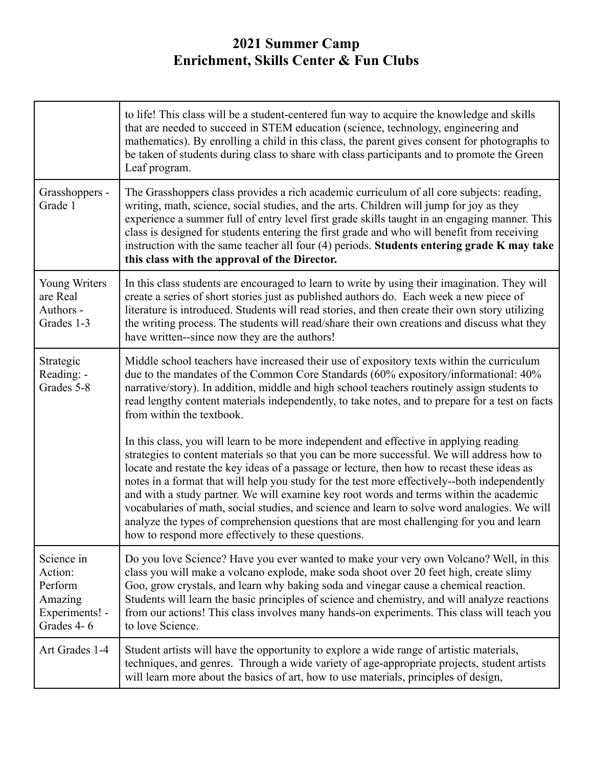|                                                                             | to life! This class will be a student-centered fun way to acquire the knowledge and skills<br>that are needed to succeed in STEM education (science, technology, engineering and<br>mathematics). By enrolling a child in this class, the parent gives consent for photographs to<br>be taken of students during class to share with class participants and to promote the Green<br>Leaf program.                                                                                                                                                                                                                                                                                                                                |
|-----------------------------------------------------------------------------|----------------------------------------------------------------------------------------------------------------------------------------------------------------------------------------------------------------------------------------------------------------------------------------------------------------------------------------------------------------------------------------------------------------------------------------------------------------------------------------------------------------------------------------------------------------------------------------------------------------------------------------------------------------------------------------------------------------------------------|
| Grasshoppers -<br>Grade 1                                                   | The Grasshoppers class provides a rich academic curriculum of all core subjects: reading,<br>writing, math, science, social studies, and the arts. Children will jump for joy as they<br>experience a summer full of entry level first grade skills taught in an engaging manner. This<br>class is designed for students entering the first grade and who will benefit from receiving<br>instruction with the same teacher all four (4) periods. Students entering grade K may take<br>this class with the approval of the Director.                                                                                                                                                                                             |
| <b>Young Writers</b><br>are Real<br>Authors -<br>Grades 1-3                 | In this class students are encouraged to learn to write by using their imagination. They will<br>create a series of short stories just as published authors do. Each week a new piece of<br>literature is introduced. Students will read stories, and then create their own story utilizing<br>the writing process. The students will read/share their own creations and discuss what they<br>have written-since now they are the authors!                                                                                                                                                                                                                                                                                       |
| Strategic<br>Reading: -<br>Grades 5-8                                       | Middle school teachers have increased their use of expository texts within the curriculum<br>due to the mandates of the Common Core Standards (60% expository/informational: 40%<br>narrative/story). In addition, middle and high school teachers routinely assign students to<br>read lengthy content materials independently, to take notes, and to prepare for a test on facts<br>from within the textbook.                                                                                                                                                                                                                                                                                                                  |
|                                                                             | In this class, you will learn to be more independent and effective in applying reading<br>strategies to content materials so that you can be more successful. We will address how to<br>locate and restate the key ideas of a passage or lecture, then how to recast these ideas as<br>notes in a format that will help you study for the test more effectively--both independently<br>and with a study partner. We will examine key root words and terms within the academic<br>vocabularies of math, social studies, and science and learn to solve word analogies. We will<br>analyze the types of comprehension questions that are most challenging for you and learn<br>how to respond more effectively to these questions. |
| Science in<br>Action:<br>Perform<br>Amazing<br>Experiments! -<br>Grades 4-6 | Do you love Science? Have you ever wanted to make your very own Volcano? Well, in this<br>class you will make a volcano explode, make soda shoot over 20 feet high, create slimy<br>Goo, grow crystals, and learn why baking soda and vinegar cause a chemical reaction.<br>Students will learn the basic principles of science and chemistry, and will analyze reactions<br>from our actions! This class involves many hands-on experiments. This class will teach you<br>to love Science.                                                                                                                                                                                                                                      |
| Art Grades 1-4                                                              | Student artists will have the opportunity to explore a wide range of artistic materials,<br>techniques, and genres. Through a wide variety of age-appropriate projects, student artists<br>will learn more about the basics of art, how to use materials, principles of design,                                                                                                                                                                                                                                                                                                                                                                                                                                                  |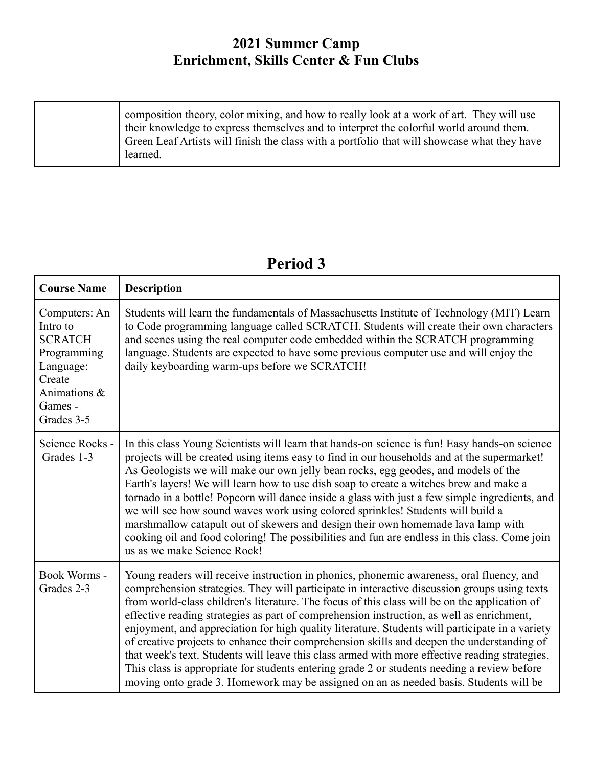| composition theory, color mixing, and how to really look at a work of art. They will use<br>their knowledge to express themselves and to interpret the colorful world around them. |
|------------------------------------------------------------------------------------------------------------------------------------------------------------------------------------|
| Green Leaf Artists will finish the class with a portfolio that will showcase what they have<br>learned.                                                                            |

#### **Course Name Description** Computers: An Intro to **SCRATCH** Programming Language: Create Animations & Games - Grades 3-5 Students will learn the fundamentals of Massachusetts Institute of Technology (MIT) Learn to Code programming language called SCRATCH. Students will create their own characters and scenes using the real computer code embedded within the SCRATCH programming language. Students are expected to have some previous computer use and will enjoy the daily keyboarding warm-ups before we SCRATCH! Science Rocks - Grades 1-3 In this class Young Scientists will learn that hands-on science is fun! Easy hands-on science projects will be created using items easy to find in our households and at the supermarket! As Geologists we will make our own jelly bean rocks, egg geodes, and models of the Earth's layers! We will learn how to use dish soap to create a witches brew and make a tornado in a bottle! Popcorn will dance inside a glass with just a few simple ingredients, and we will see how sound waves work using colored sprinkles! Students will build a marshmallow catapult out of skewers and design their own homemade lava lamp with cooking oil and food coloring! The possibilities and fun are endless in this class. Come join us as we make Science Rock! Book Worms - Grades 2-3 Young readers will receive instruction in phonics, phonemic awareness, oral fluency, and comprehension strategies. They will participate in interactive discussion groups using texts from world-class children's literature. The focus of this class will be on the application of effective reading strategies as part of comprehension instruction, as well as enrichment, enjoyment, and appreciation for high quality literature. Students will participate in a variety of creative projects to enhance their comprehension skills and deepen the understanding of that week's text. Students will leave this class armed with more effective reading strategies. This class is appropriate for students entering grade 2 or students needing a review before moving onto grade 3. Homework may be assigned on an as needed basis. Students will be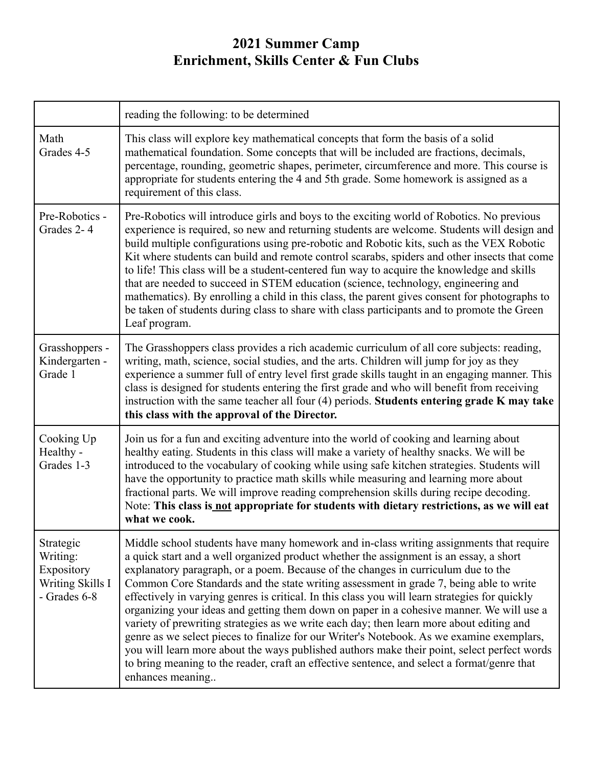|                                                                         | reading the following: to be determined                                                                                                                                                                                                                                                                                                                                                                                                                                                                                                                                                                                                                                                                                                                                                                                                                                                                                                                                   |
|-------------------------------------------------------------------------|---------------------------------------------------------------------------------------------------------------------------------------------------------------------------------------------------------------------------------------------------------------------------------------------------------------------------------------------------------------------------------------------------------------------------------------------------------------------------------------------------------------------------------------------------------------------------------------------------------------------------------------------------------------------------------------------------------------------------------------------------------------------------------------------------------------------------------------------------------------------------------------------------------------------------------------------------------------------------|
| Math<br>Grades 4-5                                                      | This class will explore key mathematical concepts that form the basis of a solid<br>mathematical foundation. Some concepts that will be included are fractions, decimals,<br>percentage, rounding, geometric shapes, perimeter, circumference and more. This course is<br>appropriate for students entering the 4 and 5th grade. Some homework is assigned as a<br>requirement of this class.                                                                                                                                                                                                                                                                                                                                                                                                                                                                                                                                                                             |
| Pre-Robotics -<br>Grades 2-4                                            | Pre-Robotics will introduce girls and boys to the exciting world of Robotics. No previous<br>experience is required, so new and returning students are welcome. Students will design and<br>build multiple configurations using pre-robotic and Robotic kits, such as the VEX Robotic<br>Kit where students can build and remote control scarabs, spiders and other insects that come<br>to life! This class will be a student-centered fun way to acquire the knowledge and skills<br>that are needed to succeed in STEM education (science, technology, engineering and<br>mathematics). By enrolling a child in this class, the parent gives consent for photographs to<br>be taken of students during class to share with class participants and to promote the Green<br>Leaf program.                                                                                                                                                                                |
| Grasshoppers -<br>Kindergarten -<br>Grade 1                             | The Grasshoppers class provides a rich academic curriculum of all core subjects: reading,<br>writing, math, science, social studies, and the arts. Children will jump for joy as they<br>experience a summer full of entry level first grade skills taught in an engaging manner. This<br>class is designed for students entering the first grade and who will benefit from receiving<br>instruction with the same teacher all four (4) periods. Students entering grade K may take<br>this class with the approval of the Director.                                                                                                                                                                                                                                                                                                                                                                                                                                      |
| Cooking Up<br>Healthy -<br>Grades 1-3                                   | Join us for a fun and exciting adventure into the world of cooking and learning about<br>healthy eating. Students in this class will make a variety of healthy snacks. We will be<br>introduced to the vocabulary of cooking while using safe kitchen strategies. Students will<br>have the opportunity to practice math skills while measuring and learning more about<br>fractional parts. We will improve reading comprehension skills during recipe decoding.<br>Note: This class is not appropriate for students with dietary restrictions, as we will eat<br>what we cook.                                                                                                                                                                                                                                                                                                                                                                                          |
| Strategic<br>Writing:<br>Expository<br>Writing Skills I<br>- Grades 6-8 | Middle school students have many homework and in-class writing assignments that require<br>a quick start and a well organized product whether the assignment is an essay, a short<br>explanatory paragraph, or a poem. Because of the changes in curriculum due to the<br>Common Core Standards and the state writing assessment in grade 7, being able to write<br>effectively in varying genres is critical. In this class you will learn strategies for quickly<br>organizing your ideas and getting them down on paper in a cohesive manner. We will use a<br>variety of prewriting strategies as we write each day; then learn more about editing and<br>genre as we select pieces to finalize for our Writer's Notebook. As we examine exemplars,<br>you will learn more about the ways published authors make their point, select perfect words<br>to bring meaning to the reader, craft an effective sentence, and select a format/genre that<br>enhances meaning |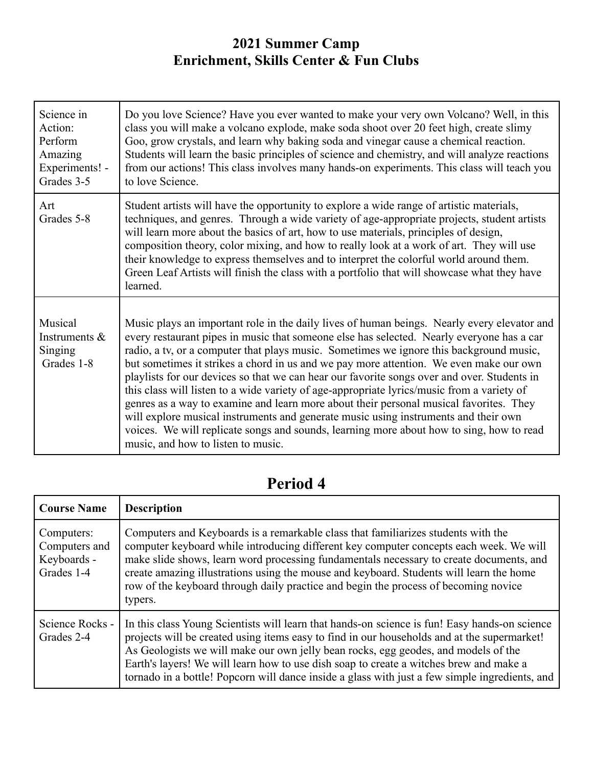| Science in<br>Action:<br>Perform<br>Amazing<br>Experiments! -<br>Grades 3-5 | Do you love Science? Have you ever wanted to make your very own Volcano? Well, in this<br>class you will make a volcano explode, make soda shoot over 20 feet high, create slimy<br>Goo, grow crystals, and learn why baking soda and vinegar cause a chemical reaction.<br>Students will learn the basic principles of science and chemistry, and will analyze reactions<br>from our actions! This class involves many hands-on experiments. This class will teach you<br>to love Science.                                                                                                                                                                                                                                                                                                                                                                                                   |
|-----------------------------------------------------------------------------|-----------------------------------------------------------------------------------------------------------------------------------------------------------------------------------------------------------------------------------------------------------------------------------------------------------------------------------------------------------------------------------------------------------------------------------------------------------------------------------------------------------------------------------------------------------------------------------------------------------------------------------------------------------------------------------------------------------------------------------------------------------------------------------------------------------------------------------------------------------------------------------------------|
| Art<br>Grades 5-8                                                           | Student artists will have the opportunity to explore a wide range of artistic materials,<br>techniques, and genres. Through a wide variety of age-appropriate projects, student artists<br>will learn more about the basics of art, how to use materials, principles of design,<br>composition theory, color mixing, and how to really look at a work of art. They will use<br>their knowledge to express themselves and to interpret the colorful world around them.<br>Green Leaf Artists will finish the class with a portfolio that will showcase what they have<br>learned.                                                                                                                                                                                                                                                                                                              |
| Musical<br>Instruments $\&$<br>Singing<br>Grades 1-8                        | Music plays an important role in the daily lives of human beings. Nearly every elevator and<br>every restaurant pipes in music that someone else has selected. Nearly everyone has a car<br>radio, a tv, or a computer that plays music. Sometimes we ignore this background music,<br>but sometimes it strikes a chord in us and we pay more attention. We even make our own<br>playlists for our devices so that we can hear our favorite songs over and over. Students in<br>this class will listen to a wide variety of age-appropriate lyrics/music from a variety of<br>genres as a way to examine and learn more about their personal musical favorites. They<br>will explore musical instruments and generate music using instruments and their own<br>voices. We will replicate songs and sounds, learning more about how to sing, how to read<br>music, and how to listen to music. |

| <b>Course Name</b>                                       | <b>Description</b>                                                                                                                                                                                                                                                                                                                                                                                                                                                             |
|----------------------------------------------------------|--------------------------------------------------------------------------------------------------------------------------------------------------------------------------------------------------------------------------------------------------------------------------------------------------------------------------------------------------------------------------------------------------------------------------------------------------------------------------------|
| Computers:<br>Computers and<br>Keyboards -<br>Grades 1-4 | Computers and Keyboards is a remarkable class that familiarizes students with the<br>computer keyboard while introducing different key computer concepts each week. We will<br>make slide shows, learn word processing fundamentals necessary to create documents, and<br>create amazing illustrations using the mouse and keyboard. Students will learn the home<br>row of the keyboard through daily practice and begin the process of becoming novice<br>typers.            |
| Science Rocks -<br>Grades 2-4                            | In this class Young Scientists will learn that hands-on science is fun! Easy hands-on science<br>projects will be created using items easy to find in our households and at the supermarket!<br>As Geologists we will make our own jelly bean rocks, egg geodes, and models of the<br>Earth's layers! We will learn how to use dish soap to create a witches brew and make a<br>tornado in a bottle! Popcorn will dance inside a glass with just a few simple ingredients, and |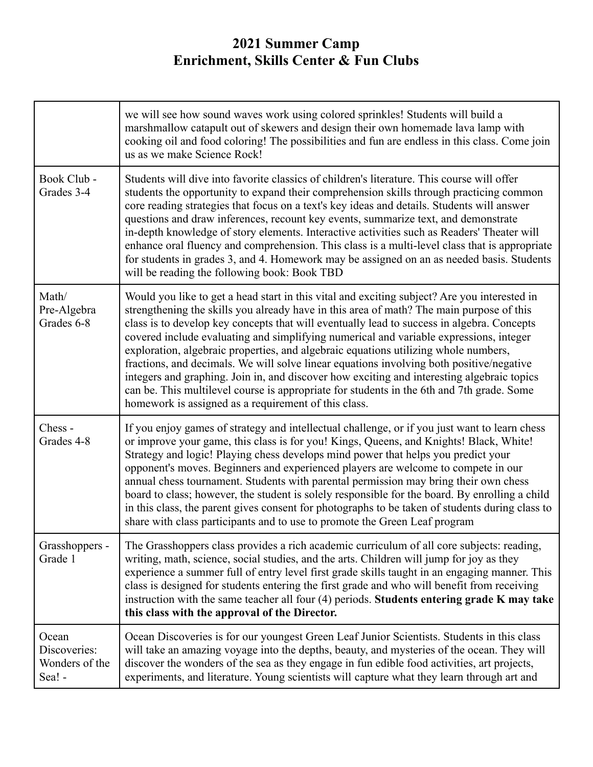|                                                   | we will see how sound waves work using colored sprinkles! Students will build a<br>marshmallow catapult out of skewers and design their own homemade lava lamp with<br>cooking oil and food coloring! The possibilities and fun are endless in this class. Come join<br>us as we make Science Rock!                                                                                                                                                                                                                                                                                                                                                                                                                                                                                                                    |
|---------------------------------------------------|------------------------------------------------------------------------------------------------------------------------------------------------------------------------------------------------------------------------------------------------------------------------------------------------------------------------------------------------------------------------------------------------------------------------------------------------------------------------------------------------------------------------------------------------------------------------------------------------------------------------------------------------------------------------------------------------------------------------------------------------------------------------------------------------------------------------|
| Book Club -<br>Grades 3-4                         | Students will dive into favorite classics of children's literature. This course will offer<br>students the opportunity to expand their comprehension skills through practicing common<br>core reading strategies that focus on a text's key ideas and details. Students will answer<br>questions and draw inferences, recount key events, summarize text, and demonstrate<br>in-depth knowledge of story elements. Interactive activities such as Readers' Theater will<br>enhance oral fluency and comprehension. This class is a multi-level class that is appropriate<br>for students in grades 3, and 4. Homework may be assigned on an as needed basis. Students<br>will be reading the following book: Book TBD                                                                                                  |
| Math/<br>Pre-Algebra<br>Grades 6-8                | Would you like to get a head start in this vital and exciting subject? Are you interested in<br>strengthening the skills you already have in this area of math? The main purpose of this<br>class is to develop key concepts that will eventually lead to success in algebra. Concepts<br>covered include evaluating and simplifying numerical and variable expressions, integer<br>exploration, algebraic properties, and algebraic equations utilizing whole numbers,<br>fractions, and decimals. We will solve linear equations involving both positive/negative<br>integers and graphing. Join in, and discover how exciting and interesting algebraic topics<br>can be. This multilevel course is appropriate for students in the 6th and 7th grade. Some<br>homework is assigned as a requirement of this class. |
| Chess-<br>Grades 4-8                              | If you enjoy games of strategy and intellectual challenge, or if you just want to learn chess<br>or improve your game, this class is for you! Kings, Queens, and Knights! Black, White!<br>Strategy and logic! Playing chess develops mind power that helps you predict your<br>opponent's moves. Beginners and experienced players are welcome to compete in our<br>annual chess tournament. Students with parental permission may bring their own chess<br>board to class; however, the student is solely responsible for the board. By enrolling a child<br>in this class, the parent gives consent for photographs to be taken of students during class to<br>share with class participants and to use to promote the Green Leaf program                                                                           |
| Grasshoppers -<br>Grade 1                         | The Grasshoppers class provides a rich academic curriculum of all core subjects: reading,<br>writing, math, science, social studies, and the arts. Children will jump for joy as they<br>experience a summer full of entry level first grade skills taught in an engaging manner. This<br>class is designed for students entering the first grade and who will benefit from receiving<br>instruction with the same teacher all four $(4)$ periods. Students entering grade K may take<br>this class with the approval of the Director.                                                                                                                                                                                                                                                                                 |
| Ocean<br>Discoveries:<br>Wonders of the<br>Sea! - | Ocean Discoveries is for our youngest Green Leaf Junior Scientists. Students in this class<br>will take an amazing voyage into the depths, beauty, and mysteries of the ocean. They will<br>discover the wonders of the sea as they engage in fun edible food activities, art projects,<br>experiments, and literature. Young scientists will capture what they learn through art and                                                                                                                                                                                                                                                                                                                                                                                                                                  |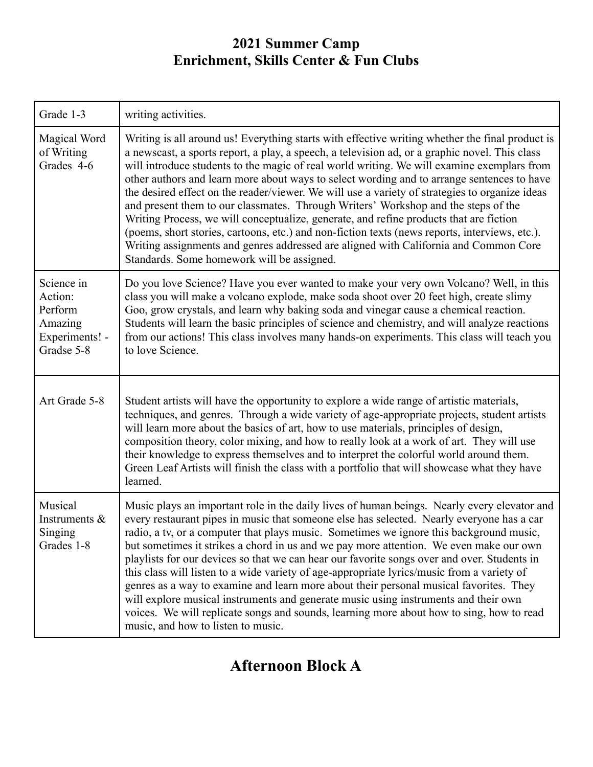| Grade 1-3                                                                   | writing activities.                                                                                                                                                                                                                                                                                                                                                                                                                                                                                                                                                                                                                                                                                                                                                                                                                                                                                                     |
|-----------------------------------------------------------------------------|-------------------------------------------------------------------------------------------------------------------------------------------------------------------------------------------------------------------------------------------------------------------------------------------------------------------------------------------------------------------------------------------------------------------------------------------------------------------------------------------------------------------------------------------------------------------------------------------------------------------------------------------------------------------------------------------------------------------------------------------------------------------------------------------------------------------------------------------------------------------------------------------------------------------------|
| Magical Word<br>of Writing<br>Grades 4-6                                    | Writing is all around us! Everything starts with effective writing whether the final product is<br>a newscast, a sports report, a play, a speech, a television ad, or a graphic novel. This class<br>will introduce students to the magic of real world writing. We will examine exemplars from<br>other authors and learn more about ways to select wording and to arrange sentences to have<br>the desired effect on the reader/viewer. We will use a variety of strategies to organize ideas<br>and present them to our classmates. Through Writers' Workshop and the steps of the<br>Writing Process, we will conceptualize, generate, and refine products that are fiction<br>(poems, short stories, cartoons, etc.) and non-fiction texts (news reports, interviews, etc.).<br>Writing assignments and genres addressed are aligned with California and Common Core<br>Standards. Some homework will be assigned. |
| Science in<br>Action:<br>Perform<br>Amazing<br>Experiments! -<br>Gradse 5-8 | Do you love Science? Have you ever wanted to make your very own Volcano? Well, in this<br>class you will make a volcano explode, make soda shoot over 20 feet high, create slimy<br>Goo, grow crystals, and learn why baking soda and vinegar cause a chemical reaction.<br>Students will learn the basic principles of science and chemistry, and will analyze reactions<br>from our actions! This class involves many hands-on experiments. This class will teach you<br>to love Science.                                                                                                                                                                                                                                                                                                                                                                                                                             |
| Art Grade 5-8                                                               | Student artists will have the opportunity to explore a wide range of artistic materials,<br>techniques, and genres. Through a wide variety of age-appropriate projects, student artists<br>will learn more about the basics of art, how to use materials, principles of design,<br>composition theory, color mixing, and how to really look at a work of art. They will use<br>their knowledge to express themselves and to interpret the colorful world around them.<br>Green Leaf Artists will finish the class with a portfolio that will showcase what they have<br>learned.                                                                                                                                                                                                                                                                                                                                        |
| Musical<br>Instruments &<br>Singing<br>Grades 1-8                           | Music plays an important role in the daily lives of human beings. Nearly every elevator and<br>every restaurant pipes in music that someone else has selected. Nearly everyone has a car<br>radio, a tv, or a computer that plays music. Sometimes we ignore this background music.<br>but sometimes it strikes a chord in us and we pay more attention. We even make our own<br>playlists for our devices so that we can hear our favorite songs over and over. Students in<br>this class will listen to a wide variety of age-appropriate lyrics/music from a variety of<br>genres as a way to examine and learn more about their personal musical favorites. They<br>will explore musical instruments and generate music using instruments and their own<br>voices. We will replicate songs and sounds, learning more about how to sing, how to read<br>music, and how to listen to music.                           |

# **Afternoon Block A**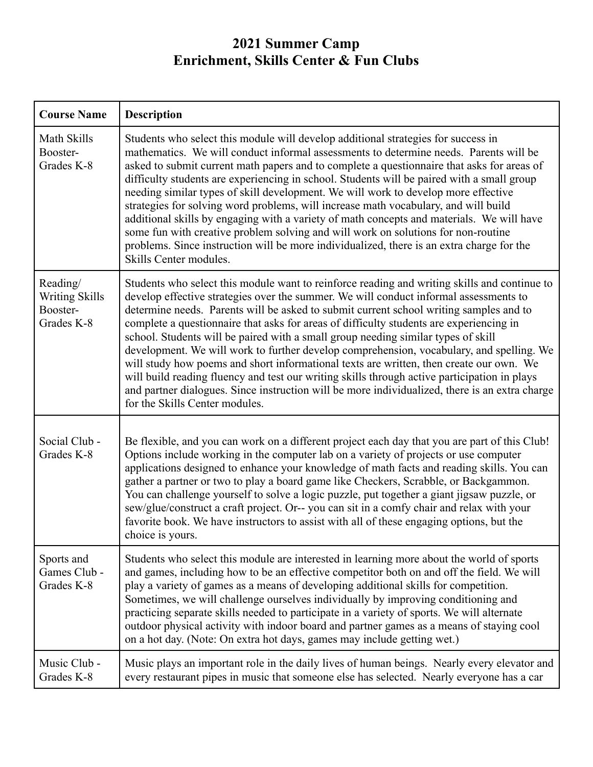| <b>Course Name</b>                                          | <b>Description</b>                                                                                                                                                                                                                                                                                                                                                                                                                                                                                                                                                                                                                                                                                                                                                                                                                                                                         |
|-------------------------------------------------------------|--------------------------------------------------------------------------------------------------------------------------------------------------------------------------------------------------------------------------------------------------------------------------------------------------------------------------------------------------------------------------------------------------------------------------------------------------------------------------------------------------------------------------------------------------------------------------------------------------------------------------------------------------------------------------------------------------------------------------------------------------------------------------------------------------------------------------------------------------------------------------------------------|
| Math Skills<br>Booster-<br>Grades K-8                       | Students who select this module will develop additional strategies for success in<br>mathematics. We will conduct informal assessments to determine needs. Parents will be<br>asked to submit current math papers and to complete a questionnaire that asks for areas of<br>difficulty students are experiencing in school. Students will be paired with a small group<br>needing similar types of skill development. We will work to develop more effective<br>strategies for solving word problems, will increase math vocabulary, and will build<br>additional skills by engaging with a variety of math concepts and materials. We will have<br>some fun with creative problem solving and will work on solutions for non-routine<br>problems. Since instruction will be more individualized, there is an extra charge for the<br>Skills Center modules.                               |
| Reading/<br><b>Writing Skills</b><br>Booster-<br>Grades K-8 | Students who select this module want to reinforce reading and writing skills and continue to<br>develop effective strategies over the summer. We will conduct informal assessments to<br>determine needs. Parents will be asked to submit current school writing samples and to<br>complete a questionnaire that asks for areas of difficulty students are experiencing in<br>school. Students will be paired with a small group needing similar types of skill<br>development. We will work to further develop comprehension, vocabulary, and spelling. We<br>will study how poems and short informational texts are written, then create our own. We<br>will build reading fluency and test our writing skills through active participation in plays<br>and partner dialogues. Since instruction will be more individualized, there is an extra charge<br>for the Skills Center modules. |
| Social Club -<br>Grades K-8                                 | Be flexible, and you can work on a different project each day that you are part of this Club!<br>Options include working in the computer lab on a variety of projects or use computer<br>applications designed to enhance your knowledge of math facts and reading skills. You can<br>gather a partner or two to play a board game like Checkers, Scrabble, or Backgammon.<br>You can challenge yourself to solve a logic puzzle, put together a giant jigsaw puzzle, or<br>sew/glue/construct a craft project. Or-- you can sit in a comfy chair and relax with your<br>favorite book. We have instructors to assist with all of these engaging options, but the<br>choice is yours.                                                                                                                                                                                                      |
| Sports and<br>Games Club -<br>Grades K-8                    | Students who select this module are interested in learning more about the world of sports<br>and games, including how to be an effective competitor both on and off the field. We will<br>play a variety of games as a means of developing additional skills for competition.<br>Sometimes, we will challenge ourselves individually by improving conditioning and<br>practicing separate skills needed to participate in a variety of sports. We will alternate<br>outdoor physical activity with indoor board and partner games as a means of staying cool<br>on a hot day. (Note: On extra hot days, games may include getting wet.)                                                                                                                                                                                                                                                    |
| Music Club -<br>Grades K-8                                  | Music plays an important role in the daily lives of human beings. Nearly every elevator and<br>every restaurant pipes in music that someone else has selected. Nearly everyone has a car                                                                                                                                                                                                                                                                                                                                                                                                                                                                                                                                                                                                                                                                                                   |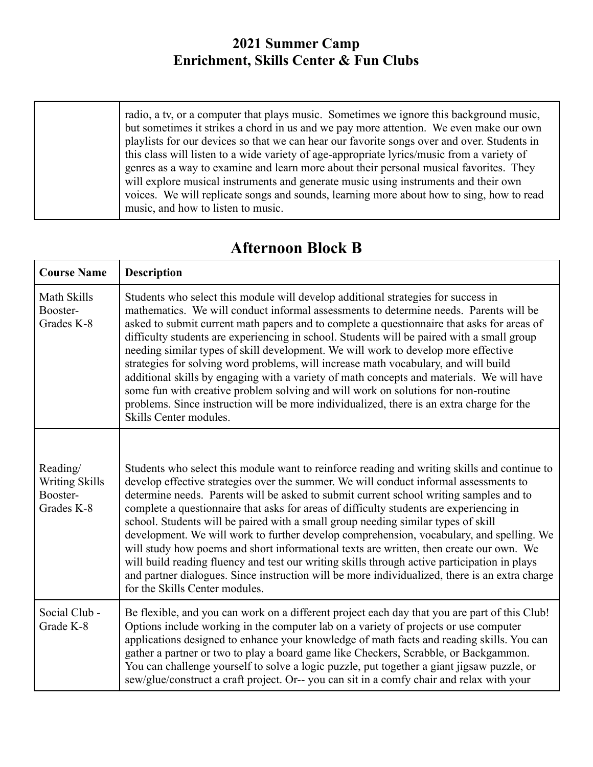| this class will listen to a wide variety of age-appropriate lyrics/music from a variety of<br>will explore musical instruments and generate music using instruments and their own<br>music, and how to listen to music. | radio, a tv, or a computer that plays music. Sometimes we ignore this background music,<br>but sometimes it strikes a chord in us and we pay more attention. We even make our own<br>playlists for our devices so that we can hear our favorite songs over and over. Students in<br>genres as a way to examine and learn more about their personal musical favorities. They<br>voices. We will replicate songs and sounds, learning more about how to sing, how to read |
|-------------------------------------------------------------------------------------------------------------------------------------------------------------------------------------------------------------------------|-------------------------------------------------------------------------------------------------------------------------------------------------------------------------------------------------------------------------------------------------------------------------------------------------------------------------------------------------------------------------------------------------------------------------------------------------------------------------|
|-------------------------------------------------------------------------------------------------------------------------------------------------------------------------------------------------------------------------|-------------------------------------------------------------------------------------------------------------------------------------------------------------------------------------------------------------------------------------------------------------------------------------------------------------------------------------------------------------------------------------------------------------------------------------------------------------------------|

| <b>Afternoon Block B</b> |  |
|--------------------------|--|
|--------------------------|--|

г

| <b>Course Name</b>                                          | <b>Description</b>                                                                                                                                                                                                                                                                                                                                                                                                                                                                                                                                                                                                                                                                                                                                                                                                                                                                         |
|-------------------------------------------------------------|--------------------------------------------------------------------------------------------------------------------------------------------------------------------------------------------------------------------------------------------------------------------------------------------------------------------------------------------------------------------------------------------------------------------------------------------------------------------------------------------------------------------------------------------------------------------------------------------------------------------------------------------------------------------------------------------------------------------------------------------------------------------------------------------------------------------------------------------------------------------------------------------|
| Math Skills<br>Booster-<br>Grades K-8                       | Students who select this module will develop additional strategies for success in<br>mathematics. We will conduct informal assessments to determine needs. Parents will be<br>asked to submit current math papers and to complete a questionnaire that asks for areas of<br>difficulty students are experiencing in school. Students will be paired with a small group<br>needing similar types of skill development. We will work to develop more effective<br>strategies for solving word problems, will increase math vocabulary, and will build<br>additional skills by engaging with a variety of math concepts and materials. We will have<br>some fun with creative problem solving and will work on solutions for non-routine<br>problems. Since instruction will be more individualized, there is an extra charge for the<br>Skills Center modules.                               |
| Reading/<br><b>Writing Skills</b><br>Booster-<br>Grades K-8 | Students who select this module want to reinforce reading and writing skills and continue to<br>develop effective strategies over the summer. We will conduct informal assessments to<br>determine needs. Parents will be asked to submit current school writing samples and to<br>complete a questionnaire that asks for areas of difficulty students are experiencing in<br>school. Students will be paired with a small group needing similar types of skill<br>development. We will work to further develop comprehension, vocabulary, and spelling. We<br>will study how poems and short informational texts are written, then create our own. We<br>will build reading fluency and test our writing skills through active participation in plays<br>and partner dialogues. Since instruction will be more individualized, there is an extra charge<br>for the Skills Center modules. |
| Social Club -<br>Grade K-8                                  | Be flexible, and you can work on a different project each day that you are part of this Club!<br>Options include working in the computer lab on a variety of projects or use computer<br>applications designed to enhance your knowledge of math facts and reading skills. You can<br>gather a partner or two to play a board game like Checkers, Scrabble, or Backgammon.<br>You can challenge yourself to solve a logic puzzle, put together a giant jigsaw puzzle, or<br>sew/glue/construct a craft project. Or-- you can sit in a comfy chair and relax with your                                                                                                                                                                                                                                                                                                                      |